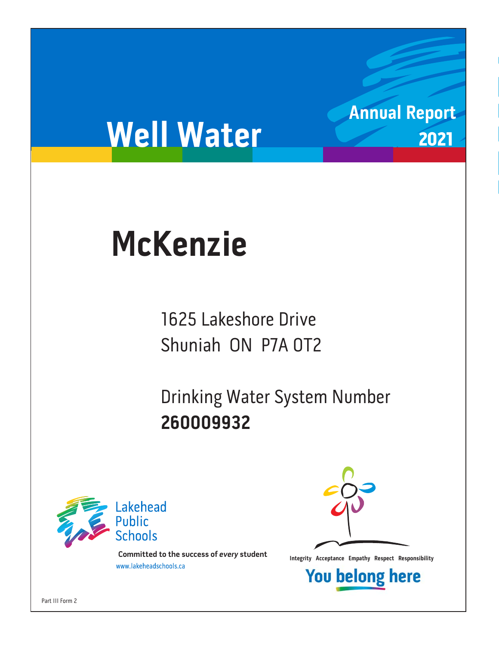# **Well Water**

# **McKenzie McKenzie**

1625 Lakeshore Drive Shuniah ON P7A OT2 Shuniah ON P7A 0T2

Drinking Water System Number<br>260009932 **260009932**



**Integrity Acceptance Empathy Respect Responsibility integrity Acceptance Empathy Respect Responsibility Example 1** 



**Annual Report**

2021



Part III Form 2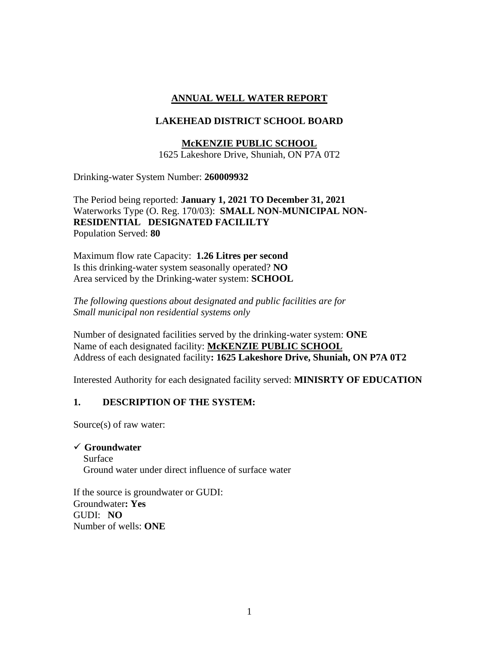# **ANNUAL WELL WATER REPORT**

# **LAKEHEAD DISTRICT SCHOOL BOARD**

# **McKENZIE PUBLIC SCHOOL**

1625 Lakeshore Drive, Shuniah, ON P7A 0T2

Drinking-water System Number: **260009932**

The Period being reported: **January 1, 2021 TO December 31, 2021** Waterworks Type (O. Reg. 170/03): **SMALL NON-MUNICIPAL NON-RESIDENTIAL DESIGNATED FACILILTY**  Population Served: **80**

Maximum flow rate Capacity: **1.26 Litres per second** Is this drinking-water system seasonally operated? **NO** Area serviced by the Drinking-water system: **SCHOOL**

*The following questions about designated and public facilities are for Small municipal non residential systems only* 

Number of designated facilities served by the drinking-water system: **ONE** Name of each designated facility: **McKENZIE PUBLIC SCHOOL** Address of each designated facility**: 1625 Lakeshore Drive, Shuniah, ON P7A 0T2** 

Interested Authority for each designated facility served: **MINISRTY OF EDUCATION**

## **1. DESCRIPTION OF THE SYSTEM:**

Source(s) of raw water:

#### ✓ **Groundwater**

 Surface Ground water under direct influence of surface water

If the source is groundwater or GUDI: Groundwater**: Yes**  GUDI: **NO** Number of wells: **ONE**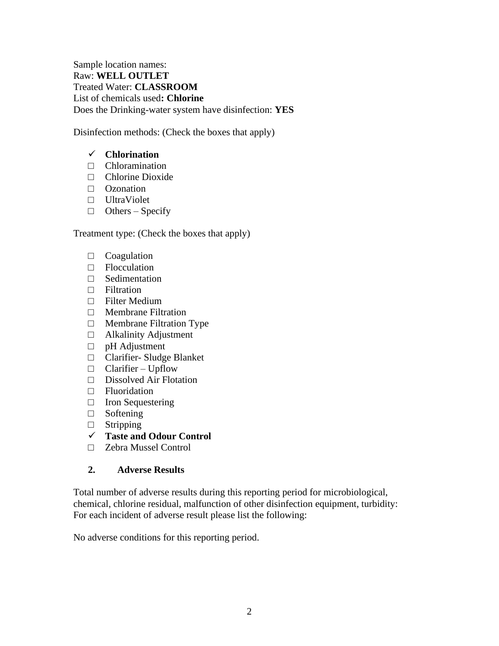Sample location names: Raw: **WELL OUTLET** Treated Water: **CLASSROOM** List of chemicals used**: Chlorine** Does the Drinking-water system have disinfection: **YES**

Disinfection methods: (Check the boxes that apply)

# ✓ **Chlorination**

- $\Box$  Chloramination
- □ Chlorine Dioxide
- □ Ozonation
- □ UltraViolet
- $\Box$  Others Specify

Treatment type: (Check the boxes that apply)

- □ Coagulation
- □ Flocculation
- □ Sedimentation
- □ Filtration
- □ Filter Medium
- □ Membrane Filtration
- □ Membrane Filtration Type
- □ Alkalinity Adjustment
- □ pH Adjustment
- □ Clarifier- Sludge Blanket
- □ Clarifier Upflow
- □ Dissolved Air Flotation
- □ Fluoridation
- □ Iron Sequestering
- □ Softening
- □ Stripping
- ✓ **Taste and Odour Control**
- □ Zebra Mussel Control

## **2. Adverse Results**

Total number of adverse results during this reporting period for microbiological, chemical, chlorine residual, malfunction of other disinfection equipment, turbidity: For each incident of adverse result please list the following:

No adverse conditions for this reporting period.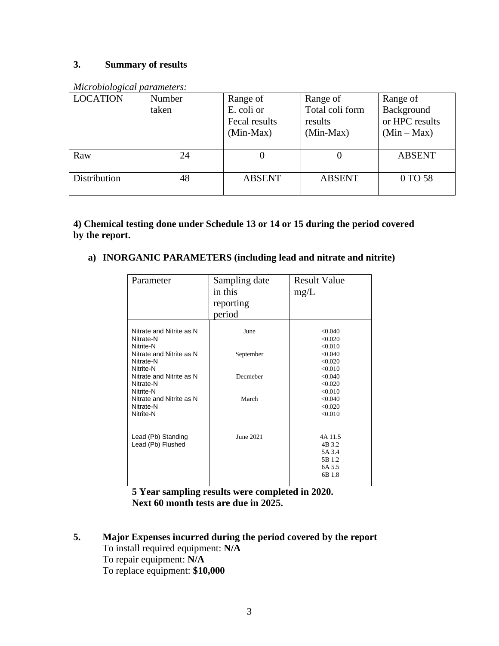# **3. Summary of results**

| <b>LOCATION</b> | Number | Range of                                   | Range of                                  | Range of                                      |
|-----------------|--------|--------------------------------------------|-------------------------------------------|-----------------------------------------------|
|                 | taken  | E. coli or<br>Fecal results<br>$(Min-Max)$ | Total coli form<br>results<br>$(Min-Max)$ | Background<br>or HPC results<br>$(Min - Max)$ |
| Raw             | 24     |                                            |                                           | <b>ABSENT</b>                                 |
| Distribution    | 48     | <b>ABSENT</b>                              | <b>ABSENT</b>                             | 0 TO 58                                       |

*Microbiological parameters:* 

**4) Chemical testing done under Schedule 13 or 14 or 15 during the period covered by the report.**

# **a) INORGANIC PARAMETERS (including lead and nitrate and nitrite)**

| Parameter                                          | Sampling date<br>in this<br>reporting<br>period | <b>Result Value</b><br>mg/L                               |
|----------------------------------------------------|-------------------------------------------------|-----------------------------------------------------------|
| Nitrate and Nitrite as N<br>Nitrate-N<br>Nitrite-N | June                                            | < 0.040<br>< 0.020<br>< 0.010                             |
| Nitrate and Nitrite as N<br>Nitrate-N<br>Nitrite-N | September                                       | < 0.040<br>< 0.020<br>< 0.010                             |
| Nitrate and Nitrite as N<br>Nitrate-N<br>Nitrite-N | Decmeber                                        | < 0.040<br>< 0.020<br>< 0.010                             |
| Nitrate and Nitrite as N<br>Nitrate-N<br>Nitrite-N | March                                           | < 0.040<br>< 0.020<br>< 0.010                             |
| Lead (Pb) Standing<br>Lead (Pb) Flushed            | June 2021                                       | 4A 11.5<br>4B 3.2<br>5A 3.4<br>5B 1.2<br>6A 5.5<br>6B 1.8 |

**5 Year sampling results were completed in 2020. Next 60 month tests are due in 2025.**

**5. Major Expenses incurred during the period covered by the report**  To install required equipment: **N/A** To repair equipment: **N/A** To replace equipment: **\$10,000**